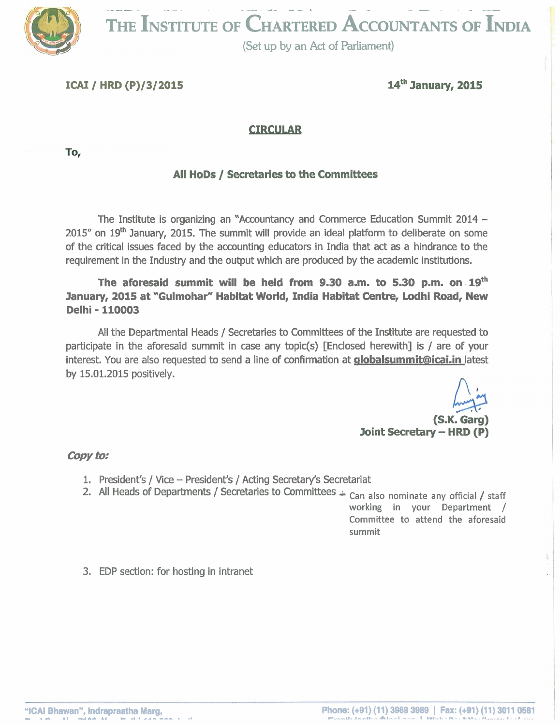$\overline{\mathbf{F}}$ **THE INSTITUTE OF CHARTERED ACCOUNTANTS OF INDIA** 

**9 (Set up by an Act of Parliament)** 

**ICAI** / **HRD** (P)/3/2015 **14<sup>th</sup> January, 2015** 

#### **CIRCULAR**

To,

## **All HODS** / **Secretaries to the Committees**

The Institute is organizing an "Accountancy and Commerce Education Summit 2014 -  $2015''$  on  $19<sup>th</sup>$  January, 2015. The summit will provide an ideal platform to deliberate on some of the critical issues faced by the accounting educators in India that act as a hindrance to the requirement in the Industry and the output which are produced by the academic institutions.

**The aforesaid summit will be held from 9.30 a.m. to 5.30 p.m. on lgfh January, 2015 at "Gulmohar" Habitat World, India Habitat Centre, Lodhi Road, New Delhi** - **110003** 

All the Departmental Heads / Secretaries to Committees of the Institute are requested to participate in the aforesaid summit in case any topic(s) [Enclosed herewith] is / are of your interest. You are also requested to send a line of confirmation at **globalsummit@icai.in** latest by 15.01.2015 positively.

**(S.K. Garg) Joint Secretary - HRD (P)** 

#### **copy to..**

- 1. President's / Vice President's / Acting Secretary's Secretariat
- 2. All Heads of Departments / Secretaries to Committees Can also nominate any official / staff

working in your Department / Committee to attend the aforesaid summit

3. EDP section: for hosting in intranet